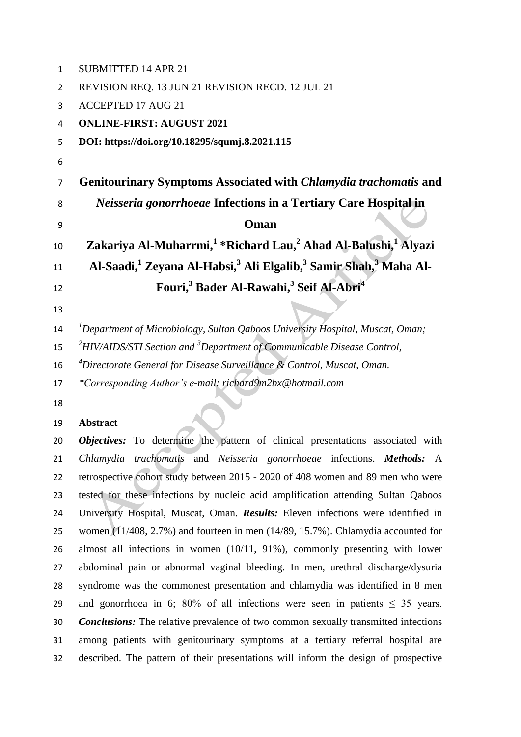| $\mathbf{1}$   | <b>SUBMITTED 14 APR 21</b>                                                                                       |  |  |  |
|----------------|------------------------------------------------------------------------------------------------------------------|--|--|--|
| 2              | REVISION REQ. 13 JUN 21 REVISION RECD. 12 JUL 21                                                                 |  |  |  |
| 3              | <b>ACCEPTED 17 AUG 21</b>                                                                                        |  |  |  |
| 4              | <b>ONLINE-FIRST: AUGUST 2021</b>                                                                                 |  |  |  |
| 5              | DOI: https://doi.org/10.18295/squmj.8.2021.115                                                                   |  |  |  |
| 6              |                                                                                                                  |  |  |  |
| $\overline{7}$ | Genitourinary Symptoms Associated with Chlamydia trachomatis and                                                 |  |  |  |
| 8              | Neisseria gonorrhoeae Infections in a Tertiary Care Hospital in                                                  |  |  |  |
| 9              | Oman                                                                                                             |  |  |  |
| 10             | Zakariya Al-Muharrmi, <sup>1</sup> *Richard Lau, <sup>2</sup> Ahad Al-Balushi, <sup>1</sup> Alyazi               |  |  |  |
| 11             | Al-Saadi, <sup>1</sup> Zeyana Al-Habsi, <sup>3</sup> Ali Elgalib, <sup>3</sup> Samir Shah, <sup>3</sup> Maha Al- |  |  |  |
| 12             | Fouri, <sup>3</sup> Bader Al-Rawahi, <sup>3</sup> Seif Al-Abri <sup>4</sup>                                      |  |  |  |
| 13             |                                                                                                                  |  |  |  |
| 14             | <sup>1</sup> Department of Microbiology, Sultan Qaboos University Hospital, Muscat, Oman;                        |  |  |  |
| 15             | $^{2}$ HIV/AIDS/STI Section and $^{3}$ Department of Communicable Disease Control,                               |  |  |  |
| 16             | <sup>4</sup> Directorate General for Disease Surveillance & Control, Muscat, Oman.                               |  |  |  |
| 17             | *Corresponding Author's e-mail: richard9m2bx@hotmail.com                                                         |  |  |  |
| 18             |                                                                                                                  |  |  |  |
| 19             | <b>Abstract</b>                                                                                                  |  |  |  |
|                |                                                                                                                  |  |  |  |

 *Objectives:* To determine the pattern of clinical presentations associated with *Chlamydia trachomatis* and *Neisseria gonorrhoeae* infections. *Methods:* A retrospective cohort study between 2015 - 2020 of 408 women and 89 men who were tested for these infections by nucleic acid amplification attending Sultan Qaboos University Hospital, Muscat, Oman. *Results:* Eleven infections were identified in women (11/408, 2.7%) and fourteen in men (14/89, 15.7%). Chlamydia accounted for almost all infections in women (10/11, 91%), commonly presenting with lower abdominal pain or abnormal vaginal bleeding. In men, urethral discharge/dysuria syndrome was the commonest presentation and chlamydia was identified in 8 men 29 and gonorrhoea in 6; 80% of all infections were seen in patients  $\leq$  35 years. *Conclusions:* The relative prevalence of two common sexually transmitted infections among patients with genitourinary symptoms at a tertiary referral hospital are described. The pattern of their presentations will inform the design of prospective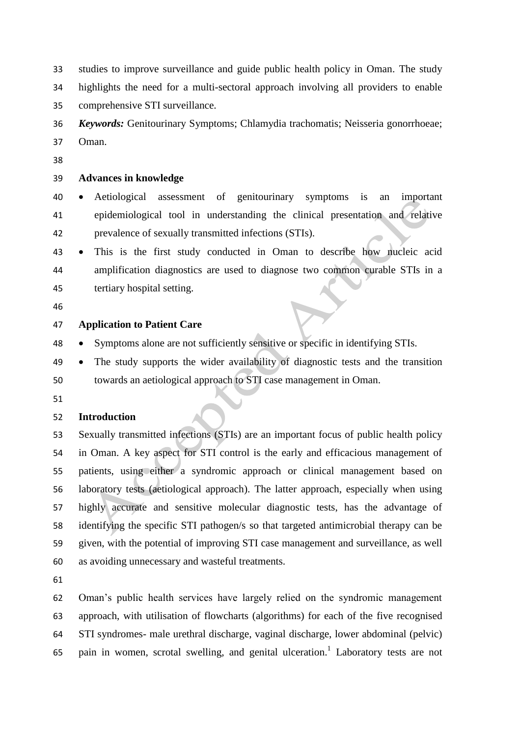studies to improve surveillance and guide public health policy in Oman. The study highlights the need for a multi-sectoral approach involving all providers to enable comprehensive STI surveillance.

 *Keywords:* Genitourinary Symptoms; Chlamydia trachomatis; Neisseria gonorrhoeae; Oman.

## **Advances in knowledge**

 Aetiological assessment of genitourinary symptoms is an important epidemiological tool in understanding the clinical presentation and relative prevalence of sexually transmitted infections (STIs).

- This is the first study conducted in Oman to describe how nucleic acid amplification diagnostics are used to diagnose two common curable STIs in a tertiary hospital setting.
- 

#### **Application to Patient Care**

- Symptoms alone are not sufficiently sensitive or specific in identifying STIs.
- The study supports the wider availability of diagnostic tests and the transition towards an aetiological approach to STI case management in Oman.
- 

#### **Introduction**

 Sexually transmitted infections (STIs) are an important focus of public health policy in Oman. A key aspect for STI control is the early and efficacious management of patients, using either a syndromic approach or clinical management based on laboratory tests (aetiological approach). The latter approach, especially when using highly accurate and sensitive molecular diagnostic tests, has the advantage of identifying the specific STI pathogen/s so that targeted antimicrobial therapy can be given, with the potential of improving STI case management and surveillance, as well as avoiding unnecessary and wasteful treatments.

 Oman's public health services have largely relied on the syndromic management approach, with utilisation of flowcharts (algorithms) for each of the five recognised STI syndromes- male urethral discharge, vaginal discharge, lower abdominal (pelvic) 65 pain in women, scrotal swelling, and genital ulceration.<sup>1</sup> Laboratory tests are not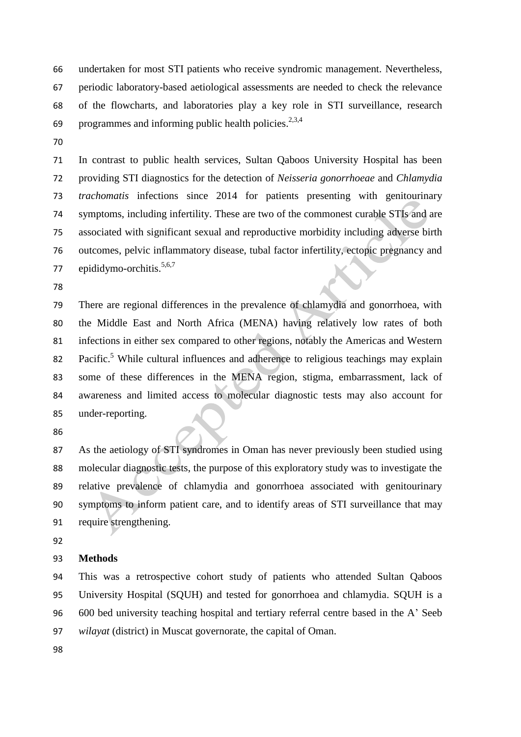undertaken for most STI patients who receive syndromic management. Nevertheless, periodic laboratory-based aetiological assessments are needed to check the relevance of the flowcharts, and laboratories play a key role in STI surveillance, research 69 programmes and informing public health policies.<sup>2,3,4</sup>

 In contrast to public health services, Sultan Qaboos University Hospital has been providing STI diagnostics for the detection of *Neisseria gonorrhoeae* and *Chlamydia trachomatis* infections since 2014 for patients presenting with genitourinary symptoms, including infertility. These are two of the commonest curable STIs and are associated with significant sexual and reproductive morbidity including adverse birth outcomes, pelvic inflammatory disease, tubal factor infertility, ectopic pregnancy and 77 epididymo-orchitis.<sup>5,6,7</sup>

 There are regional differences in the prevalence of chlamydia and gonorrhoea, with the Middle East and North Africa (MENA) having relatively low rates of both infections in either sex compared to other regions, notably the Americas and Western 82 Pacific.<sup>5</sup> While cultural influences and adherence to religious teachings may explain some of these differences in the MENA region, stigma, embarrassment, lack of awareness and limited access to molecular diagnostic tests may also account for under-reporting.

 As the aetiology of STI syndromes in Oman has never previously been studied using molecular diagnostic tests, the purpose of this exploratory study was to investigate the relative prevalence of chlamydia and gonorrhoea associated with genitourinary symptoms to inform patient care, and to identify areas of STI surveillance that may require strengthening.

### **Methods**

 This was a retrospective cohort study of patients who attended Sultan Qaboos University Hospital (SQUH) and tested for gonorrhoea and chlamydia. SQUH is a 600 bed university teaching hospital and tertiary referral centre based in the A' Seeb *wilayat* (district) in Muscat governorate, the capital of Oman.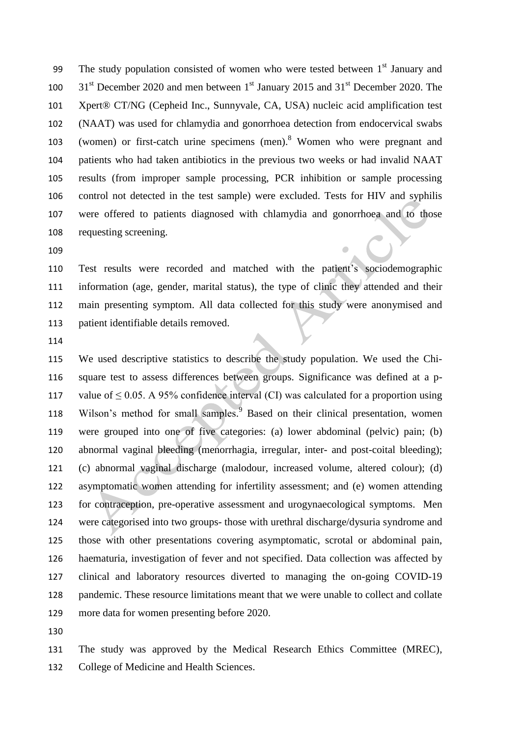The study population consisted of women who were tested between  $1<sup>st</sup>$  January and  $31<sup>st</sup>$  December 2020 and men between  $1<sup>st</sup>$  January 2015 and 31<sup>st</sup> December 2020. The Xpert® CT/NG (Cepheid Inc., Sunnyvale, CA, USA) nucleic acid amplification test (NAAT) was used for chlamydia and gonorrhoea detection from endocervical swabs 103 (women) or first-catch urine specimens (men). <sup>8</sup> Women who were pregnant and patients who had taken antibiotics in the previous two weeks or had invalid NAAT results (from improper sample processing, PCR inhibition or sample processing control not detected in the test sample) were excluded. Tests for HIV and syphilis were offered to patients diagnosed with chlamydia and gonorrhoea and to those requesting screening.

 Test results were recorded and matched with the patient's sociodemographic information (age, gender, marital status), the type of clinic they attended and their main presenting symptom. All data collected for this study were anonymised and patient identifiable details removed.

 We used descriptive statistics to describe the study population. We used the Chi- square test to assess differences between groups. Significance was defined at a p-117 value of  $\leq 0.05$ . A 95% confidence interval (CI) was calculated for a proportion using 118 Wilson's method for small samples.<sup>9</sup> Based on their clinical presentation, women were grouped into one of five categories: (a) lower abdominal (pelvic) pain; (b) abnormal vaginal bleeding (menorrhagia, irregular, inter- and post-coital bleeding); (c) abnormal vaginal discharge (malodour, increased volume, altered colour); (d) asymptomatic women attending for infertility assessment; and (e) women attending for contraception, pre-operative assessment and urogynaecological symptoms. Men were categorised into two groups- those with urethral discharge/dysuria syndrome and those with other presentations covering asymptomatic, scrotal or abdominal pain, haematuria, investigation of fever and not specified. Data collection was affected by clinical and laboratory resources diverted to managing the on-going COVID-19 pandemic. These resource limitations meant that we were unable to collect and collate more data for women presenting before 2020.

 The study was approved by the Medical Research Ethics Committee (MREC), College of Medicine and Health Sciences.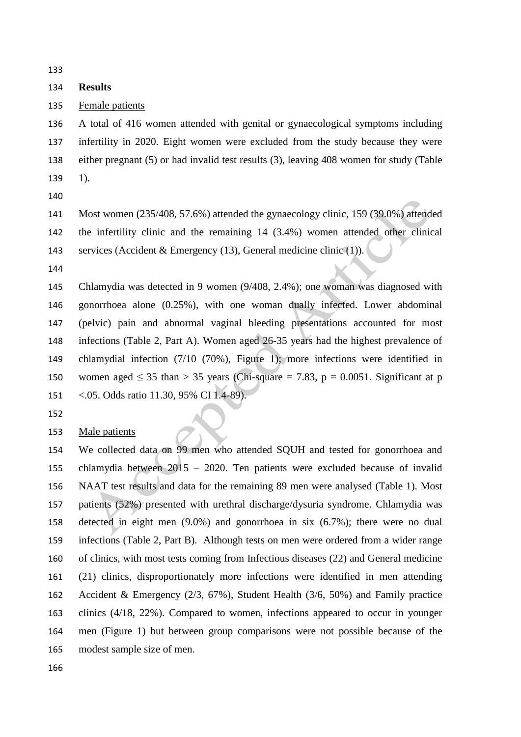## **Results**

Female patients

 A total of 416 women attended with genital or gynaecological symptoms including infertility in 2020. Eight women were excluded from the study because they were either pregnant (5) or had invalid test results (3), leaving 408 women for study (Table 1).

 Most women (235/408, 57.6%) attended the gynaecology clinic, 159 (39.0%) attended the infertility clinic and the remaining 14 (3.4%) women attended other clinical services (Accident & Emergency (13), General medicine clinic (1)).

 Chlamydia was detected in 9 women (9/408, 2.4%); one woman was diagnosed with gonorrhoea alone (0.25%), with one woman dually infected. Lower abdominal (pelvic) pain and abnormal vaginal bleeding presentations accounted for most infections (Table 2, Part A). Women aged 26-35 years had the highest prevalence of chlamydial infection (7/10 (70%), Figure 1); more infections were identified in 150 women aged  $\leq$  35 than > 35 years (Chi-square = 7.83, p = 0.0051. Significant at p <.05. Odds ratio 11.30, 95% CI 1.4-89).

Male patients

 We collected data on 99 men who attended SQUH and tested for gonorrhoea and chlamydia between 2015 – 2020. Ten patients were excluded because of invalid NAAT test results and data for the remaining 89 men were analysed (Table 1). Most patients (52%) presented with urethral discharge/dysuria syndrome. Chlamydia was detected in eight men (9.0%) and gonorrhoea in six (6.7%); there were no dual infections (Table 2, Part B). Although tests on men were ordered from a wider range of clinics, with most tests coming from Infectious diseases (22) and General medicine (21) clinics, disproportionately more infections were identified in men attending Accident & Emergency (2/3, 67%), Student Health (3/6, 50%) and Family practice clinics (4/18, 22%). Compared to women, infections appeared to occur in younger men (Figure 1) but between group comparisons were not possible because of the modest sample size of men.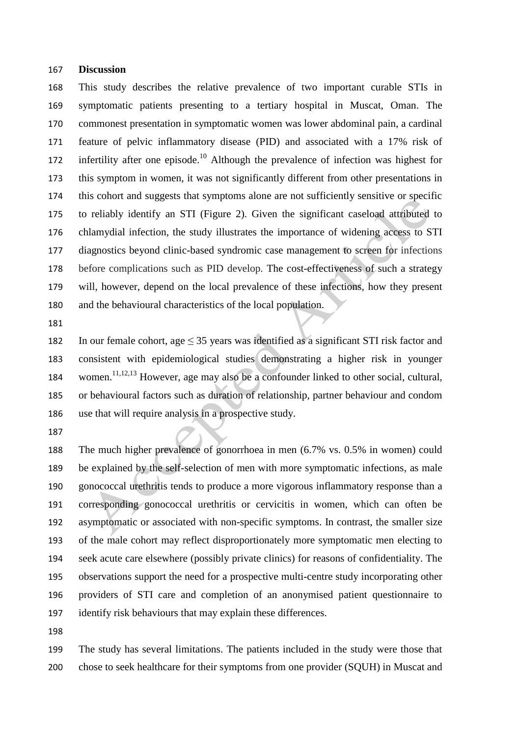#### **Discussion**

 This study describes the relative prevalence of two important curable STIs in symptomatic patients presenting to a tertiary hospital in Muscat, Oman. The commonest presentation in symptomatic women was lower abdominal pain, a cardinal feature of pelvic inflammatory disease (PID) and associated with a 17% risk of 172 infertility after one episode.<sup>10</sup> Although the prevalence of infection was highest for this symptom in women, it was not significantly different from other presentations in this cohort and suggests that symptoms alone are not sufficiently sensitive or specific to reliably identify an STI (Figure 2). Given the significant caseload attributed to chlamydial infection, the study illustrates the importance of widening access to STI diagnostics beyond clinic-based syndromic case management to screen for infections before complications such as PID develop. The cost-effectiveness of such a strategy will, however, depend on the local prevalence of these infections, how they present and the behavioural characteristics of the local population.

182 In our female cohort, age  $\leq$  35 years was identified as a significant STI risk factor and consistent with epidemiological studies demonstrating a higher risk in younger 184 women.<sup>11,12,13</sup> However, age may also be a confounder linked to other social, cultural, or behavioural factors such as duration of relationship, partner behaviour and condom use that will require analysis in a prospective study.

 The much higher prevalence of gonorrhoea in men (6.7% vs. 0.5% in women) could be explained by the self-selection of men with more symptomatic infections, as male gonococcal urethritis tends to produce a more vigorous inflammatory response than a corresponding gonococcal urethritis or cervicitis in women, which can often be asymptomatic or associated with non-specific symptoms. In contrast, the smaller size of the male cohort may reflect disproportionately more symptomatic men electing to seek acute care elsewhere (possibly private clinics) for reasons of confidentiality. The observations support the need for a prospective multi-centre study incorporating other providers of STI care and completion of an anonymised patient questionnaire to identify risk behaviours that may explain these differences.

 The study has several limitations. The patients included in the study were those that chose to seek healthcare for their symptoms from one provider (SQUH) in Muscat and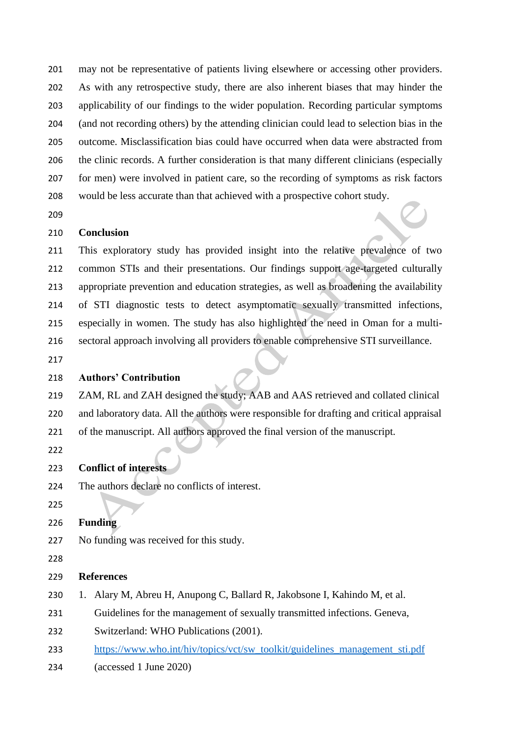may not be representative of patients living elsewhere or accessing other providers. As with any retrospective study, there are also inherent biases that may hinder the applicability of our findings to the wider population. Recording particular symptoms (and not recording others) by the attending clinician could lead to selection bias in the outcome. Misclassification bias could have occurred when data were abstracted from the clinic records. A further consideration is that many different clinicians (especially for men) were involved in patient care, so the recording of symptoms as risk factors would be less accurate than that achieved with a prospective cohort study.

## **Conclusion**

 This exploratory study has provided insight into the relative prevalence of two common STIs and their presentations. Our findings support age-targeted culturally appropriate prevention and education strategies, as well as broadening the availability of STI diagnostic tests to detect asymptomatic sexually transmitted infections, especially in women. The study has also highlighted the need in Oman for a multi-sectoral approach involving all providers to enable comprehensive STI surveillance.

## **Authors' Contribution**

 ZAM, RL and ZAH designed the study; AAB and AAS retrieved and collated clinical and laboratory data. All the authors were responsible for drafting and critical appraisal of the manuscript. All authors approved the final version of the manuscript.

# **Conflict of interests**

- The authors declare no conflicts of interest.
- 

# **Funding**

No funding was received for this study.

### 

# **References**

- 1. Alary M, Abreu H, Anupong C, Ballard R, Jakobsone I, Kahindo M, et al.
- Guidelines for the management of sexually transmitted infections. Geneva,
- Switzerland: WHO Publications (2001).
- [https://www.who.int/hiv/topics/vct/sw\\_toolkit/guidelines\\_management\\_sti.pdf](https://www.who.int/hiv/topics/vct/sw_toolkit/guidelines_management_sti.pdf)
- (accessed 1 June 2020)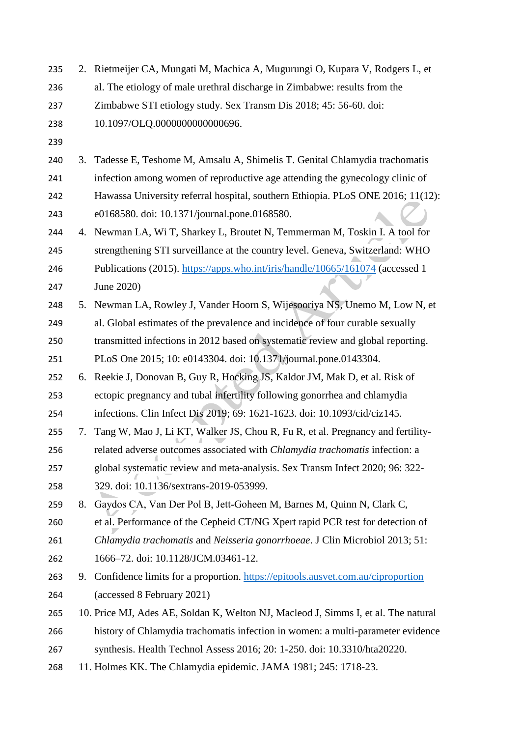2. Rietmeijer CA, Mungati M, Machica A, Mugurungi O, Kupara V, Rodgers L, et al. The etiology of male urethral discharge in Zimbabwe: results from the Zimbabwe STI etiology study. Sex Transm Dis 2018; 45: 56-60. doi: 10.1097/OLQ.0000000000000696. 3. Tadesse E, Teshome M, Amsalu A, Shimelis T. Genital Chlamydia trachomatis infection among women of reproductive age attending the gynecology clinic of Hawassa University referral hospital, southern Ethiopia. PLoS ONE 2016; 11(12): e0168580. doi: 10.1371/journal.pone.0168580. 4. Newman LA, Wi T, Sharkey L, Broutet N, Temmerman M, Toskin I. A tool for strengthening STI surveillance at the country level. Geneva, Switzerland: WHO Publications (2015).<https://apps.who.int/iris/handle/10665/161074> (accessed 1 June 2020) 5. Newman LA, Rowley J, Vander Hoorn S, Wijesooriya NS, Unemo M, Low N, et al. Global estimates of the prevalence and incidence of four curable sexually transmitted infections in 2012 based on systematic review and global reporting. PLoS One 2015; 10: e0143304. doi: 10.1371/journal.pone.0143304. 6. Reekie J, Donovan B, Guy R, Hocking JS, Kaldor JM, Mak D, et al. Risk of ectopic pregnancy and tubal infertility following gonorrhea and chlamydia infections. Clin Infect Dis 2019; 69: 1621-1623. doi: 10.1093/cid/ciz145. 7. Tang W, Mao J, Li KT, Walker JS, Chou R, Fu R, et al. Pregnancy and fertility- related adverse outcomes associated with *Chlamydia trachomatis* infection: a global systematic review and meta-analysis. Sex Transm Infect 2020; 96: 322- 329. doi: 10.1136/sextrans-2019-053999. 8. Gaydos CA, Van Der Pol B, Jett‐Goheen M, Barnes M, Quinn N, Clark C, et al. Performance of the Cepheid CT/NG Xpert rapid PCR test for detection of *Chlamydia trachomatis* and *Neisseria gonorrhoeae*. J Clin Microbiol 2013; 51: 1666–72. doi: 10.1128/JCM.03461-12. 9. Confidence limits for a proportion.<https://epitools.ausvet.com.au/ciproportion> (accessed 8 February 2021) 10. Price MJ, Ades AE, Soldan K, Welton NJ, Macleod J, Simms I, et al. The natural history of Chlamydia trachomatis infection in women: a multi-parameter evidence synthesis. Health Technol Assess 2016; 20: 1-250. doi: 10.3310/hta20220. 11. Holmes KK. The Chlamydia epidemic. JAMA 1981; 245: 1718-23.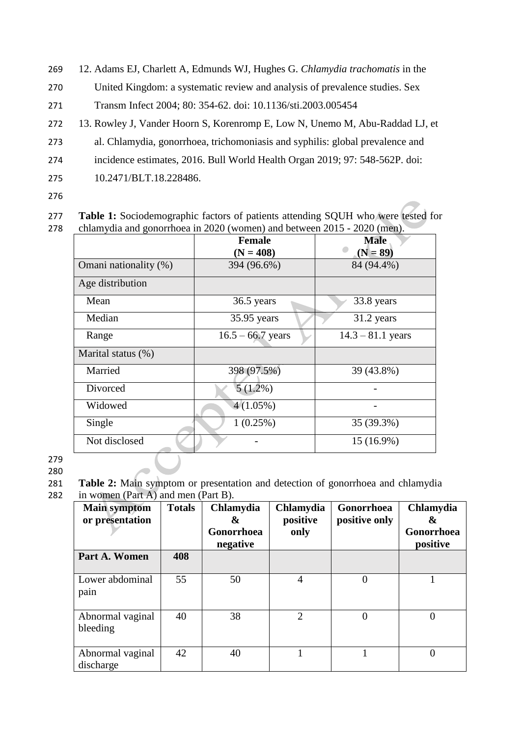- 269 12. Adams EJ, Charlett A, Edmunds WJ, Hughes G. *Chlamydia trachomatis* in the
- 270 United Kingdom: a systematic review and analysis of prevalence studies. Sex
- 271 Transm Infect 2004; 80: 354-62. doi: 10.1136/sti.2003.005454
- 272 13. Rowley J, Vander Hoorn S, Korenromp E, Low N, Unemo M, Abu-Raddad LJ, et
- 273 al. Chlamydia, gonorrhoea, trichomoniasis and syphilis: global prevalence and
- 274 incidence estimates, 2016. Bull World Health Organ 2019; 97: 548-562P. doi:
- 275 10.2471/BLT.18.228486.
- 276

277 **Table 1:** Sociodemographic factors of patients attending SQUH who were tested for 278 chlamydia and gonorrhoea in 2020 (women) and between 2015 - 2020 (men).

|                       | <b>Female</b>       | <b>Male</b>         |  |
|-----------------------|---------------------|---------------------|--|
|                       | $(N = 408)$         | $(N = 89)$          |  |
| Omani nationality (%) | 394 (96.6%)         | 84 (94.4%)          |  |
| Age distribution      |                     |                     |  |
| Mean                  | 36.5 years          | 33.8 years          |  |
| Median                | 35.95 years         | 31.2 years          |  |
| Range                 | $16.5 - 66.7$ years | $14.3 - 81.1$ years |  |
| Marital status (%)    |                     |                     |  |
| Married               | 398 (97.5%)         | 39 (43.8%)          |  |
| Divorced              | $5(1.2\%)$          |                     |  |
| Widowed               | $4(1.05\%)$         |                     |  |
| Single                | 1(0.25%)            | 35 (39.3%)          |  |
| Not disclosed         |                     | 15 (16.9%)          |  |

279

280

281 **Table 2:** Main symptom or presentation and detection of gonorrhoea and chlamydia 282 in women (Part A) and men (Part B).

| <b>Main symptom</b><br>or presentation | <b>Totals</b> | Chlamydia<br>&<br>Gonorrhoea<br>negative | Chlamydia<br>positive<br>only | Gonorrhoea<br>positive only | Chlamydia<br>&<br>Gonorrhoea<br>positive |
|----------------------------------------|---------------|------------------------------------------|-------------------------------|-----------------------------|------------------------------------------|
| Part A. Women                          | 408           |                                          |                               |                             |                                          |
| Lower abdominal<br>pain                | 55            | 50                                       | 4                             | 0                           |                                          |
| Abnormal vaginal<br>bleeding           | 40            | 38                                       | $\overline{2}$                | $\Omega$                    | $\Omega$                                 |
| Abnormal vaginal<br>discharge          | 42            | 40                                       |                               | 1                           | $\overline{0}$                           |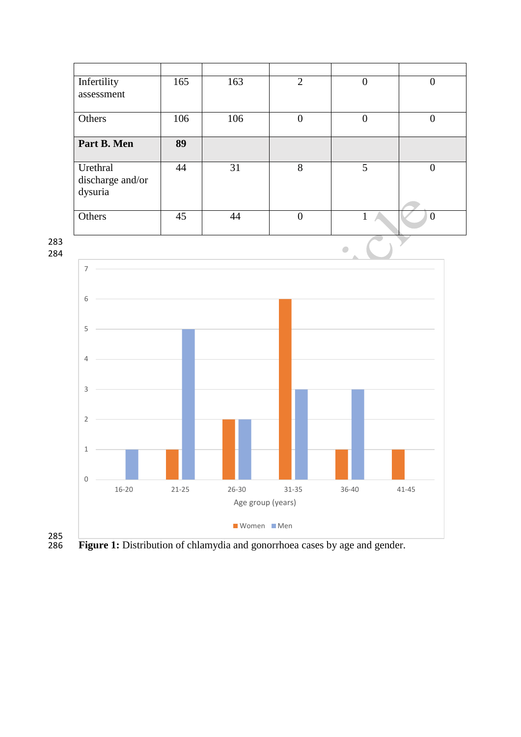